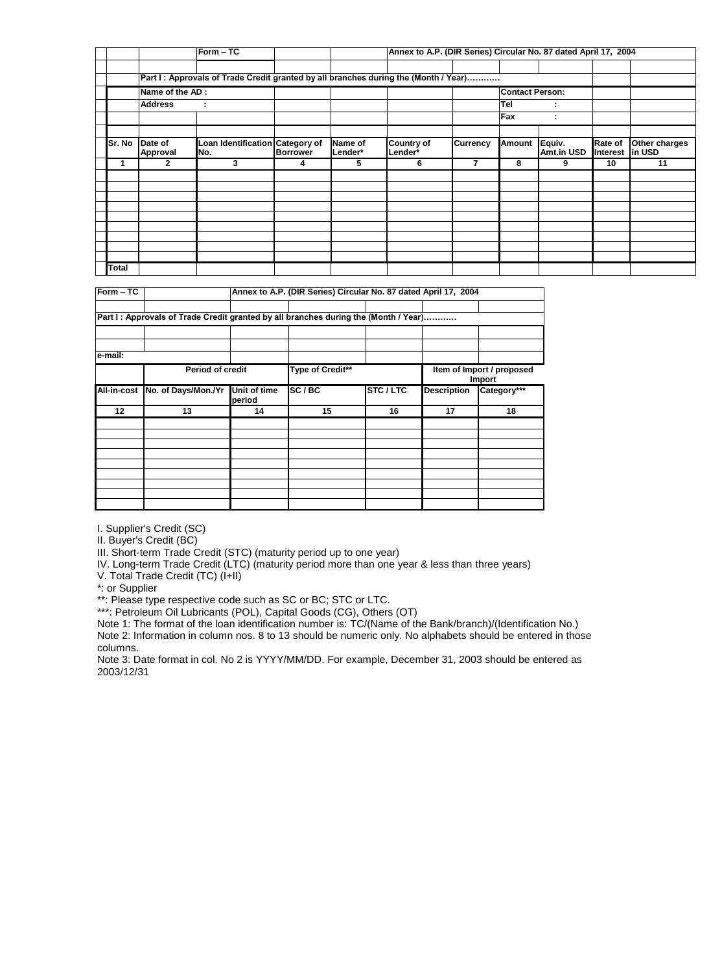|              |                            | $Form - TC$                                                                         |                 | Annex to A.P. (DIR Series) Circular No. 87 dated April 17, 2004 |                              |                 |               |                             |                                   |               |
|--------------|----------------------------|-------------------------------------------------------------------------------------|-----------------|-----------------------------------------------------------------|------------------------------|-----------------|---------------|-----------------------------|-----------------------------------|---------------|
|              |                            | Part I: Approvals of Trade Credit granted by all branches during the (Month / Year) |                 |                                                                 |                              |                 |               |                             |                                   |               |
|              | Name of the AD:            |                                                                                     |                 | <b>Contact Person:</b>                                          |                              |                 |               |                             |                                   |               |
|              | <b>Address</b><br>÷        |                                                                                     |                 |                                                                 |                              | Tel             |               |                             |                                   |               |
|              |                            |                                                                                     |                 |                                                                 |                              |                 | Fax           | $\blacksquare$              |                                   |               |
|              |                            |                                                                                     |                 |                                                                 |                              |                 |               |                             |                                   |               |
| Sr. No       | Date of<br><b>Approval</b> | Loan Identification Category of<br>No.                                              | <b>Borrower</b> | Name of<br>Lender*                                              | <b>Country of</b><br>Lender* | <b>Currency</b> | <b>Amount</b> | Equiv.<br><b>Amt.in USD</b> | <b>Rate of</b><br>Interest in USD | Other charges |
|              |                            |                                                                                     |                 |                                                                 |                              |                 |               |                             |                                   |               |
|              | 2                          | 3                                                                                   | 4               | 5                                                               | 6                            | 7               | 8             | 9                           | 10                                | 11            |
|              |                            |                                                                                     |                 |                                                                 |                              |                 |               |                             |                                   |               |
|              |                            |                                                                                     |                 |                                                                 |                              |                 |               |                             |                                   |               |
|              |                            |                                                                                     |                 |                                                                 |                              |                 |               |                             |                                   |               |
|              |                            |                                                                                     |                 |                                                                 |                              |                 |               |                             |                                   |               |
|              |                            |                                                                                     |                 |                                                                 |                              |                 |               |                             |                                   |               |
|              |                            |                                                                                     |                 |                                                                 |                              |                 |               |                             |                                   |               |
|              |                            |                                                                                     |                 |                                                                 |                              |                 |               |                             |                                   |               |
| <b>Total</b> |                            |                                                                                     |                 |                                                                 |                              |                 |               |                             |                                   |               |

| $\overline{\text{Form}} - \text{TC}$ |                                                                                     | Annex to A.P. (DIR Series) Circular No. 87 dated April 17, 2004 |                  |                |                                     |             |  |  |
|--------------------------------------|-------------------------------------------------------------------------------------|-----------------------------------------------------------------|------------------|----------------|-------------------------------------|-------------|--|--|
|                                      | Part I: Approvals of Trade Credit granted by all branches during the (Month / Year) |                                                                 |                  |                |                                     |             |  |  |
|                                      |                                                                                     |                                                                 |                  |                |                                     |             |  |  |
| e-mail:                              |                                                                                     |                                                                 |                  |                |                                     |             |  |  |
|                                      | <b>Period of credit</b>                                                             |                                                                 | Type of Credit** |                | Item of Import / proposed<br>Import |             |  |  |
|                                      | All-in-cost No. of Days/Mon./Yr                                                     | <b>Unit of time</b><br>period                                   | SC/BC            | <b>STC/LTC</b> | <b>Description</b>                  | Category*** |  |  |
| 12                                   | 13                                                                                  | 14                                                              | 15               | 16             | 17                                  | 18          |  |  |
|                                      |                                                                                     |                                                                 |                  |                |                                     |             |  |  |
|                                      |                                                                                     |                                                                 |                  |                |                                     |             |  |  |
|                                      |                                                                                     |                                                                 |                  |                |                                     |             |  |  |
|                                      |                                                                                     |                                                                 |                  |                |                                     |             |  |  |
|                                      |                                                                                     |                                                                 |                  |                |                                     |             |  |  |

I. Supplier's Credit (SC)

II. Buyer's Credit (BC)

III. Short-term Trade Credit (STC) (maturity period up to one year)

IV. Long-term Trade Credit (LTC) (maturity period more than one year & less than three years)

V. Total Trade Credit (TC) (I+II)

\*: or Supplier

\*\*: Please type respective code such as SC or BC; STC or LTC.

\*\*\*: Petroleum Oil Lubricants (POL), Capital Goods (CG), Others (OT)

Note 1: The format of the loan identification number is: TC/(Name of the Bank/branch)/(Identification No.) Note 2: Information in column nos. 8 to 13 should be numeric only. No alphabets should be entered in those columns.

Note 3: Date format in col. No 2 is YYYY/MM/DD. For example, December 31, 2003 should be entered as 2003/12/31